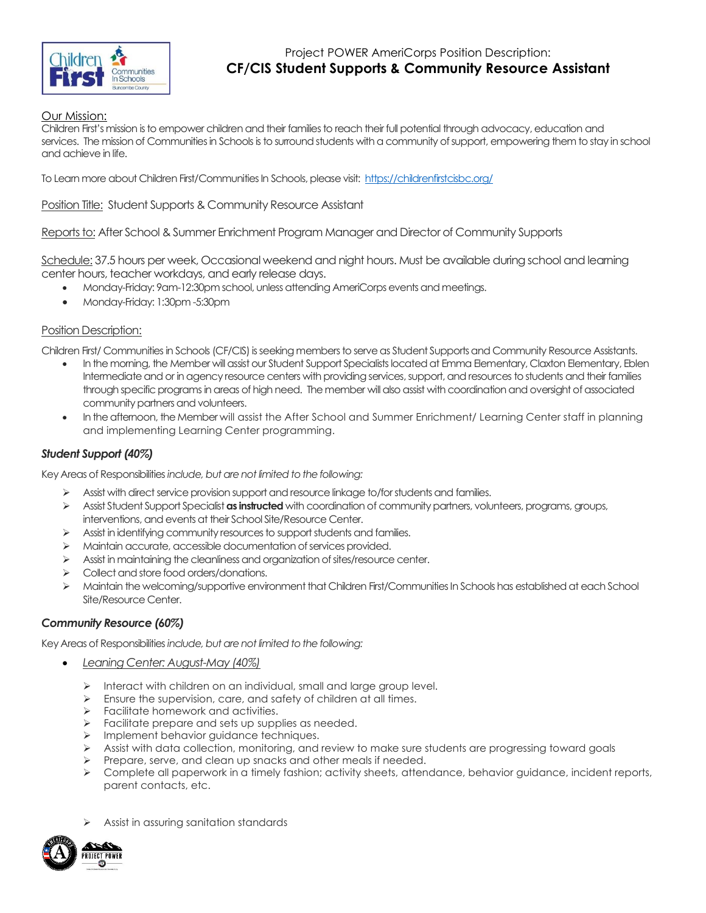

# Project POWER AmeriCorps Position Description: **CF/CIS Student Supports & Community Resource Assistant**

# Our Mission:

Children First's mission is to empower children and their families to reach their full potential through advocacy, education and services. The mission of Communities in Schools is to surround students with a community of support, empowering them to stay in school and achieve in life.

To Learn more about Children First/Communities In Schools, please visit:<https://childrenfirstcisbc.org/>

# Position Title: Student Supports & Community Resource Assistant

Reports to: After School & Summer Enrichment Program Manager and Director of Community Supports

Schedule: 37.5 hours per week, Occasional weekend and night hours. Must be available during school and learning center hours, teacher workdays, and early release days.

- Monday-Friday: 9am-12:30pm school, unless attending AmeriCorps events and meetings.
- Monday-Friday: 1:30pm -5:30pm

### Position Description:

Children First/ Communities in Schools (CF/CIS) is seeking members to serve as Student Supports and Community Resource Assistants.

- In the morning, the Member will assist our Student Support Specialists located at Emma Elementary, Claxton Elementary, Eblen Intermediate and or in agency resource centers with providing services, support, and resources to students and their families through specific programs in areas of high need. The member will also assist with coordination and oversight ofassociated community partners and volunteers.
- In the afternoon, the Member will assist the After School and Summer Enrichment/ Learning Center staff in planning and implementing Learning Center programming.

# *Student Support (40%)*

Key Areas of Responsibilities *include, but are not limited to the following:*

- $\triangleright$  Assist with direct service provision support and resource linkage to/for students and families.
- ➢ Assist Student Support Specialist **as instructed** with coordination of community partners, volunteers, programs, groups, interventions, and events at their School Site/Resource Center.
- $\triangleright$  Assist in identifying community resources to support students and families.
- ➢ Maintain accurate, accessible documentation of services provided.
- ➢ Assist in maintaining the cleanliness and organization of sites/resource center.
- ➢ Collect and store food orders/donations.
- ➢ Maintain the welcoming/supportive environment that Children First/Communities In Schools has established at each School Site/Resource Center.

#### *Community Resource (60%)*

Key Areas of Responsibilities *include, but are not limited to the following:*

- *Leaning Center: August-May (40%)*
	- ➢ Interact with children on an individual, small and large group level.
	- ➢ Ensure the supervision, care, and safety of children at all times.
	- ➢ Facilitate homework and activities.
	- Facilitate prepare and sets up supplies as needed.
	- ➢ Implement behavior guidance techniques.
	- ➢ Assist with data collection, monitoring, and review to make sure students are progressing toward goals
	- Prepare, serve, and clean up snacks and other meals if needed.
	- ➢ Complete all paperwork in a timely fashion; activity sheets, attendance, behavior guidance, incident reports, parent contacts, etc.
	- ➢ Assist in assuring sanitation standards